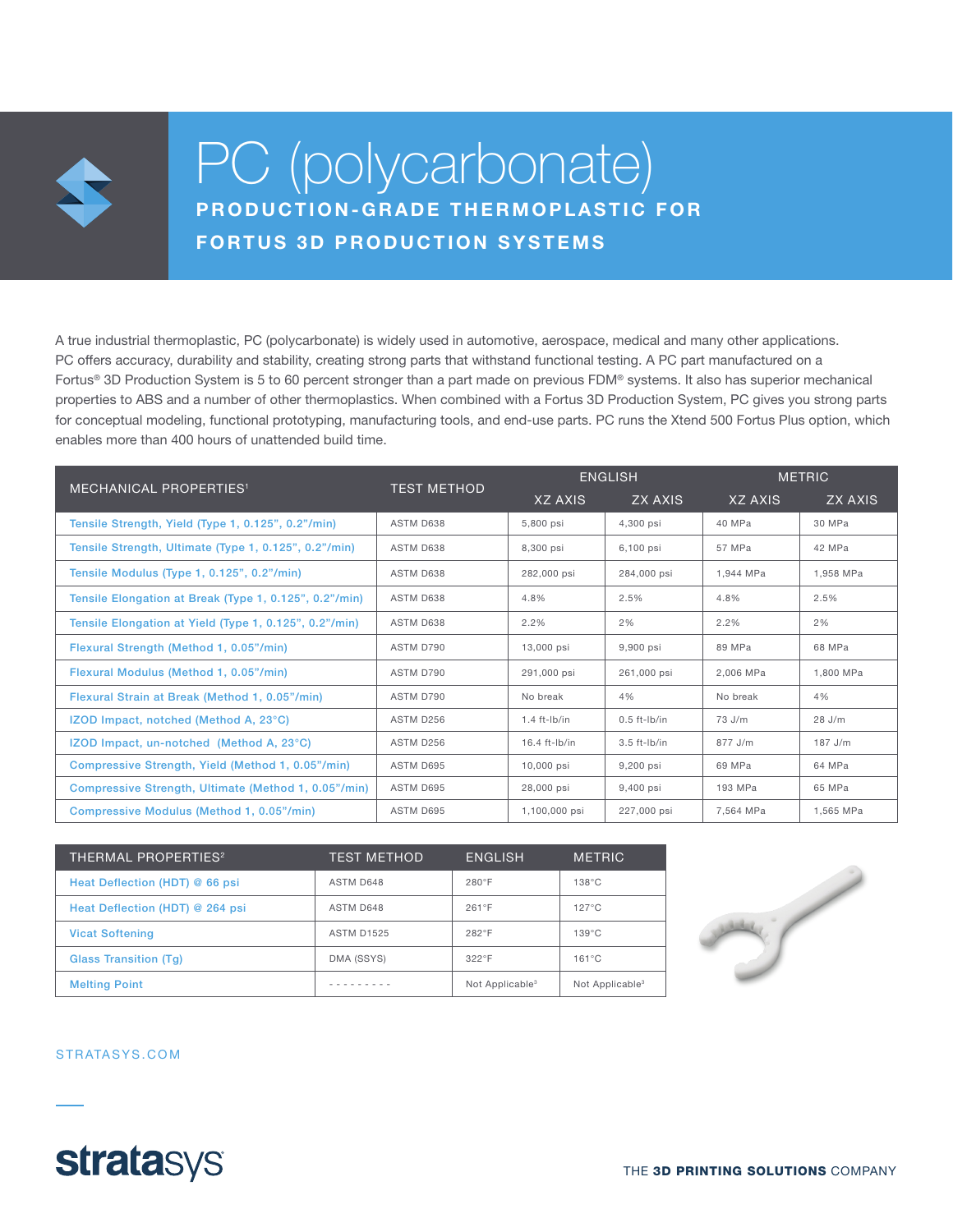

# PC (polycarbonate) PRODUCTION-GRADE THERMOPLASTIC FOR FORTUS 3D PRODUCTION SYSTEMS

A true industrial thermoplastic, PC (polycarbonate) is widely used in automotive, aerospace, medical and many other applications. PC offers accuracy, durability and stability, creating strong parts that withstand functional testing. A PC part manufactured on a Fortus® 3D Production System is 5 to 60 percent stronger than a part made on previous FDM® systems. It also has superior mechanical properties to ABS and a number of other thermoplastics. When combined with a Fortus 3D Production System, PC gives you strong parts for conceptual modeling, functional prototyping, manufacturing tools, and end-use parts. PC runs the Xtend 500 Fortus Plus option, which enables more than 400 hours of unattended build time.

| <b>MECHANICAL PROPERTIES<sup>1</sup></b>               | <b>TEST METHOD</b> | <b>ENGLISH</b>    |                | <b>METRIC</b> |           |
|--------------------------------------------------------|--------------------|-------------------|----------------|---------------|-----------|
|                                                        |                    | XZ AXIS           | ZX AXIS        | XZ AXIS       | ZX AXIS   |
| Tensile Strength, Yield (Type 1, 0.125", 0.2"/min)     | ASTM D638          | 5,800 psi         | 4.300 psi      | 40 MPa        | 30 MPa    |
| Tensile Strength, Ultimate (Type 1, 0.125", 0.2"/min)  | ASTM D638          | 8,300 psi         | 6,100 psi      | 57 MPa        | 42 MPa    |
| Tensile Modulus (Type 1, 0.125", 0.2"/min)             | ASTM D638          | 282,000 psi       | 284,000 psi    | 1.944 MPa     | 1,958 MPa |
| Tensile Elongation at Break (Type 1, 0.125", 0.2"/min) | ASTM D638          | 4.8%              | 2.5%           | 4.8%          | 2.5%      |
| Tensile Elongation at Yield (Type 1, 0.125", 0.2"/min) | ASTM D638          | 2.2%              | 2%             | 2.2%          | 2%        |
| Flexural Strength (Method 1, 0.05"/min)                | ASTM D790          | 13,000 psi        | 9,900 psi      | 89 MPa        | 68 MPa    |
| Flexural Modulus (Method 1, 0.05"/min)                 | ASTM D790          | 291,000 psi       | 261,000 psi    | 2.006 MPa     | 1.800 MPa |
| Flexural Strain at Break (Method 1, 0.05"/min)         | ASTM D790          | No break          | 4%             | No break      | 4%        |
| IZOD Impact, notched (Method A, 23°C)                  | ASTM D256          | $1.4$ ft- $lb/in$ | $0.5$ ft-lb/in | 73 J/m        | $28$ J/m  |
| IZOD Impact, un-notched (Method A, 23°C)               | ASTM D256          | $16.4$ ft-lb/in   | $3.5$ ft-lb/in | $877$ J/m     | $187$ J/m |
| Compressive Strength, Yield (Method 1, 0.05"/min)      | ASTM D695          | 10,000 psi        | 9,200 psi      | 69 MPa        | 64 MPa    |
| Compressive Strength, Ultimate (Method 1, 0.05"/min)   | ASTM D695          | 28,000 psi        | 9,400 psi      | 193 MPa       | 65 MPa    |
| Compressive Modulus (Method 1, 0.05"/min)              | ASTM D695          | 1,100,000 psi     | 227,000 psi    | 7.564 MPa     | 1.565 MPa |

| <b>THERMAL PROPERTIES<sup>2</sup></b> | <b>TEST METHOD</b> | <b>ENGLISH</b>              | <b>METRIC</b>               |
|---------------------------------------|--------------------|-----------------------------|-----------------------------|
| Heat Deflection (HDT) @ 66 psi        | ASTM D648          | $280^\circ F$               | $138^{\circ}$ C             |
| Heat Deflection (HDT) @ 264 psi       | ASTM D648          | $261^\circ F$               | $127^{\circ}$ C             |
| <b>Vicat Softening</b>                | <b>ASTM D1525</b>  | $282^\circ F$               | $139^{\circ}$ C             |
| <b>Glass Transition (Tg)</b>          | DMA (SSYS)         | $322^\circ F$               | $161^{\circ}$ C             |
| <b>Melting Point</b>                  |                    | Not Applicable <sup>3</sup> | Not Applicable <sup>3</sup> |



STRATASYS.COM